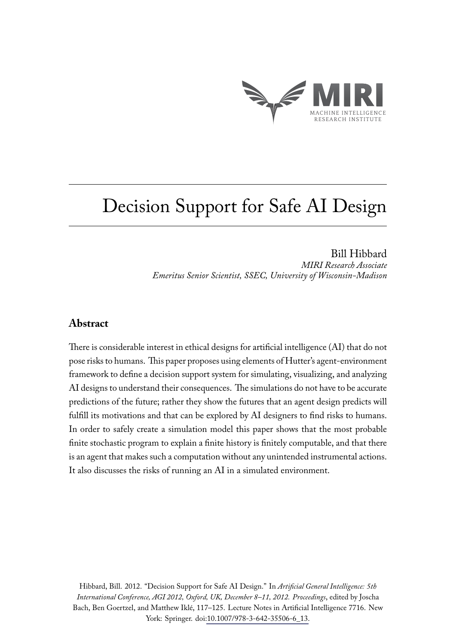

# Decision Support for Safe AI Design

## Bill Hibbard *MIRI Research Associate Emeritus Senior Scientist, SSEC, University of Wisconsin-Madison*

# **Abstract**

There is considerable interest in ethical designs for artificial intelligence (AI) that do not pose risks to humans. This paper proposes using elements of Hutter's agent-environment framework to define a decision support system for simulating, visualizing, and analyzing AI designs to understand their consequences. The simulations do not have to be accurate predictions of the future; rather they show the futures that an agent design predicts will fulfill its motivations and that can be explored by AI designers to find risks to humans. In order to safely create a simulation model this paper shows that the most probable finite stochastic program to explain a finite history is finitely computable, and that there is an agent that makes such a computation without any unintended instrumental actions. It also discusses the risks of running an AI in a simulated environment.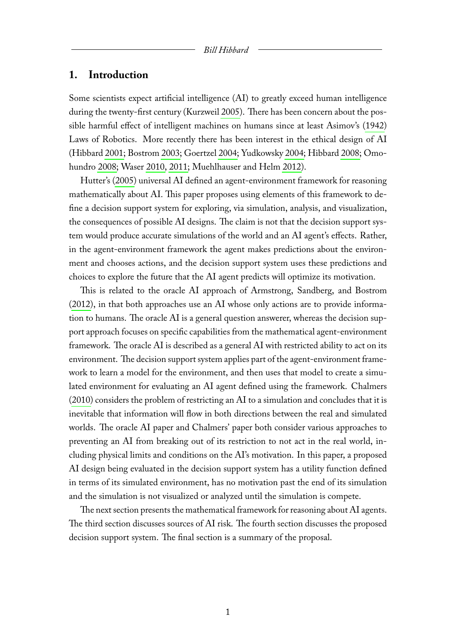# **1. Introduction**

Some scientists expect artificial intelligence (AI) to greatly exceed human intelligence during the twenty-first century (Kurzweil [2005\)](#page-10-0). There has been concern about the possible harmful effect of intelligent machines on humans since at least Asimov's [\(1942\)](#page-9-0) Laws of Robotics. More recently there has been interest in the ethical design of AI (Hibbard [2001;](#page-9-1) Bostrom [2003;](#page-9-2) Goertzel [2004;](#page-9-3) Yudkowsky [2004;](#page-10-1) Hibbard [2008;](#page-9-4) Omohundro [2008;](#page-10-2) Waser [2010,](#page-10-3) [2011;](#page-10-4) Muehlhauser and Helm [2012\)](#page-10-5).

Hutter's [\(2005\)](#page-10-6) universal AI defined an agent-environment framework for reasoning mathematically about AI. This paper proposes using elements of this framework to define a decision support system for exploring, via simulation, analysis, and visualization, the consequences of possible AI designs. The claim is not that the decision support system would produce accurate simulations of the world and an AI agent's effects. Rather, in the agent-environment framework the agent makes predictions about the environment and chooses actions, and the decision support system uses these predictions and choices to explore the future that the AI agent predicts will optimize its motivation.

This is related to the oracle AI approach of Armstrong, Sandberg, and Bostrom [\(2012\)](#page-9-5), in that both approaches use an AI whose only actions are to provide information to humans. The oracle AI is a general question answerer, whereas the decision support approach focuses on specific capabilities from the mathematical agent-environment framework. The oracle AI is described as a general AI with restricted ability to act on its environment. The decision support system applies part of the agent-environment framework to learn a model for the environment, and then uses that model to create a simulated environment for evaluating an AI agent defined using the framework. Chalmers [\(2010\)](#page-9-6) considers the problem of restricting an AI to a simulation and concludes that it is inevitable that information will flow in both directions between the real and simulated worlds. The oracle AI paper and Chalmers' paper both consider various approaches to preventing an AI from breaking out of its restriction to not act in the real world, including physical limits and conditions on the AI's motivation. In this paper, a proposed AI design being evaluated in the decision support system has a utility function defined in terms of its simulated environment, has no motivation past the end of its simulation and the simulation is not visualized or analyzed until the simulation is compete.

The next section presents the mathematical framework for reasoning about AI agents. The third section discusses sources of AI risk. The fourth section discusses the proposed decision support system. The final section is a summary of the proposal.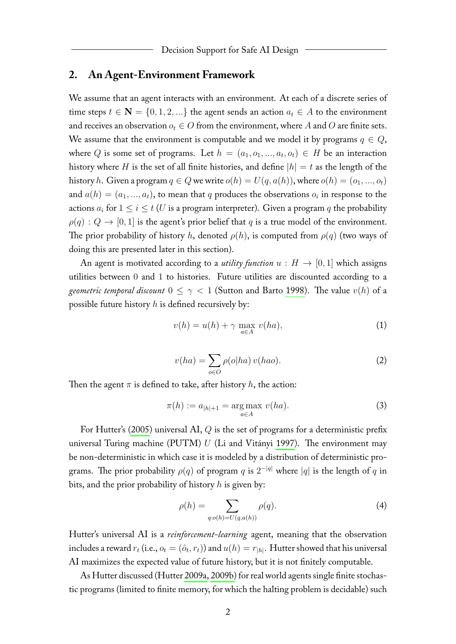## **2. An Agent-Environment Framework**

We assume that an agent interacts with an environment. At each of a discrete series of time steps  $t \in \mathbf{N} = \{0, 1, 2, ...\}$  the agent sends an action  $a_t \in A$  to the environment and receives an observation  $o_t \in O$  from the environment, where A and O are finite sets. We assume that the environment is computable and we model it by programs  $q \in Q$ , where Q is some set of programs. Let  $h = (a_1, o_1, ..., a_t, o_t) \in H$  be an interaction history where H is the set of all finite histories, and define  $|h| = t$  as the length of the history h. Given a program  $q \in Q$  we write  $o(h) = U(q, a(h))$ , where  $o(h) = (o_1, ..., o_t)$ and  $a(h) = (a_1, ..., a_t)$ , to mean that q produces the observations  $o_i$  in response to the actions  $a_i$  for  $1 \le i \le t$  (U is a program interpreter). Given a program q the probability  $\rho(q)$ :  $Q \rightarrow [0, 1]$  is the agent's prior belief that q is a true model of the environment. The prior probability of history h, denoted  $\rho(h)$ , is computed from  $\rho(q)$  (two ways of doing this are presented later in this section).

An agent is motivated according to a *utility function*  $u : H \to [0, 1]$  which assigns utilities between 0 and 1 to histories. Future utilities are discounted according to a *geometric temporal discount*  $0 \leq \gamma < 1$  (Sutton and Barto [1998\)](#page-10-7). The value  $v(h)$  of a possible future history  $h$  is defined recursively by:

<span id="page-2-1"></span>
$$
v(h) = u(h) + \gamma \max_{a \in A} v(ha), \tag{1}
$$

<span id="page-2-2"></span>
$$
v(ha) = \sum_{o \in O} \rho(o|ha) v(hao).
$$
 (2)

Then the agent  $\pi$  is defined to take, after history h, the action:

$$
\pi(h) := a_{|h|+1} = \underset{a \in A}{\arg \max} \ v(ha). \tag{3}
$$

For Hutter's [\(2005\)](#page-10-6) universal AI, Q is the set of programs for a deterministic prefix universal Turing machine (PUTM)  $U$  (Li and Vitányi [1997\)](#page-10-8). The environment may be non-deterministic in which case it is modeled by a distribution of deterministic programs. The prior probability  $\rho(q)$  of program  $q$  is  $2^{-|q|}$  where  $|q|$  is the length of  $q$  in bits, and the prior probability of history  $h$  is given by:

<span id="page-2-0"></span>
$$
\rho(h) = \sum_{q: o(h) = U(q, a(h))} \rho(q). \tag{4}
$$

Hutter's universal AI is a *reinforcement-learning* agent, meaning that the observation includes a reward  $r_t$  (i.e.,  $o_t = (\hat{o}_t, r_t))$  and  $u(h) = r_{|h|}.$  Hutter showed that his universal AI maximizes the expected value of future history, but it is not finitely computable.

As Hutter discussed (Hutter [2009a,](#page-10-9) [2009b\)](#page-10-10) for real world agents single finite stochastic programs (limited to finite memory, for which the halting problem is decidable) such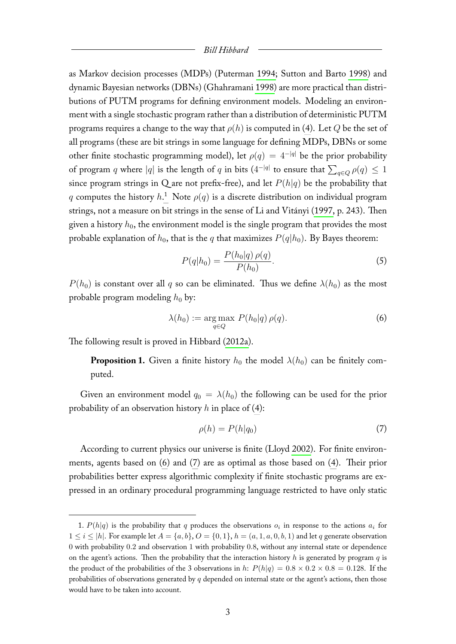*Bill Hibbard*

as Markov decision processes (MDPs) (Puterman [1994;](#page-10-11) Sutton and Barto [1998\)](#page-10-7) and dynamic Bayesian networks (DBNs) (Ghahramani [1998\)](#page-9-7) are more practical than distributions of PUTM programs for defining environment models. Modeling an environment with a single stochastic program rather than a distribution of deterministic PUTM programs requires a change to the way that  $\rho(h)$  is computed in [\(4\)](#page-2-0). Let Q be the set of all programs (these are bit strings in some language for defining MDPs, DBNs or some other finite stochastic programming model), let  $\rho(q) = 4^{-|q|}$  be the prior probability of program q where |q| is the length of q in bits  $(4^{-|q|})$  to ensure that  $\sum_{q\in Q}\rho(q)\leq 1$ since program strings in Q are not prefix-free), and let  $P(h|q)$  be the probability that q computes the history h.<sup>[1](#page-3-0)</sup> Note  $\rho(q)$  is a discrete distribution on individual program strings, not a measure on bit strings in the sense of Li and Vitányi [\(1997,](#page-10-8) p. 243). Then given a history  $h_0$ , the environment model is the single program that provides the most probable explanation of  $h_0$ , that is the q that maximizes  $P(q|h_0)$ . By Bayes theorem:

<span id="page-3-1"></span>
$$
P(q|h_0) = \frac{P(h_0|q)\,\rho(q)}{P(h_0)}.\tag{5}
$$

 $P(h_0)$  is constant over all q so can be eliminated. Thus we define  $\lambda(h_0)$  as the most probable program modeling  $h_0$  by:

$$
\lambda(h_0) := \underset{q \in Q}{\text{arg max}} \ P(h_0|q) \ \rho(q). \tag{6}
$$

The following result is proved in Hibbard [\(2012a\)](#page-9-8).

**Proposition 1.** Given a finite history  $h_0$  the model  $\lambda(h_0)$  can be finitely computed.

Given an environment model  $q_0 = \lambda(h_0)$  the following can be used for the prior probability of an observation history  $h$  in place of [\(4\)](#page-2-0):

<span id="page-3-2"></span>
$$
\rho(h) = P(h|q_0) \tag{7}
$$

According to current physics our universe is finite (Lloyd [2002\)](#page-10-12). For finite environments, agents based on [\(6\)](#page-3-1) and [\(7\)](#page-3-2) are as optimal as those based on [\(4\)](#page-2-0). Their prior probabilities better express algorithmic complexity if finite stochastic programs are expressed in an ordinary procedural programming language restricted to have only static

<span id="page-3-0"></span><sup>1.</sup>  $P(h|q)$  is the probability that q produces the observations  $o_i$  in response to the actions  $a_i$  for  $1 \leq i \leq |h|$ . For example let  $A = \{a, b\}$ ,  $O = \{0, 1\}$ ,  $h = (a, 1, a, 0, b, 1)$  and let q generate observation 0 with probability 0.2 and observation 1 with probability 0.8, without any internal state or dependence on the agent's actions. Then the probability that the interaction history  $h$  is generated by program  $q$  is the product of the probabilities of the 3 observations in h:  $P(h|q) = 0.8 \times 0.2 \times 0.8 = 0.128$ . If the probabilities of observations generated by  $q$  depended on internal state or the agent's actions, then those would have to be taken into account.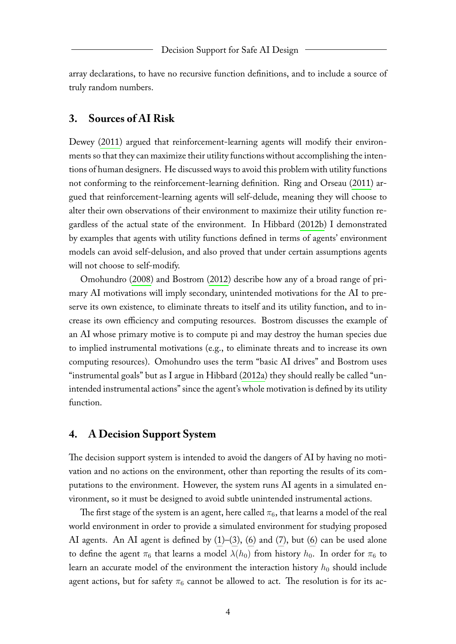array declarations, to have no recursive function definitions, and to include a source of truly random numbers.

# **3. Sources of AI Risk**

Dewey [\(2011\)](#page-9-9) argued that reinforcement-learning agents will modify their environments so that they can maximize their utility functions without accomplishing the intentions of human designers. He discussed ways to avoid this problem with utility functions not conforming to the reinforcement-learning definition. Ring and Orseau [\(2011\)](#page-10-13) argued that reinforcement-learning agents will self-delude, meaning they will choose to alter their own observations of their environment to maximize their utility function regardless of the actual state of the environment. In Hibbard [\(2012b\)](#page-9-10) I demonstrated by examples that agents with utility functions defined in terms of agents' environment models can avoid self-delusion, and also proved that under certain assumptions agents will not choose to self-modify.

Omohundro [\(2008\)](#page-10-2) and Bostrom [\(2012\)](#page-9-11) describe how any of a broad range of primary AI motivations will imply secondary, unintended motivations for the AI to preserve its own existence, to eliminate threats to itself and its utility function, and to increase its own efficiency and computing resources. Bostrom discusses the example of an AI whose primary motive is to compute pi and may destroy the human species due to implied instrumental motivations (e.g., to eliminate threats and to increase its own computing resources). Omohundro uses the term "basic AI drives" and Bostrom uses "instrumental goals" but as I argue in Hibbard [\(2012a\)](#page-9-8) they should really be called "unintended instrumental actions" since the agent's whole motivation is defined by its utility function.

# **4. A Decision Support System**

The decision support system is intended to avoid the dangers of AI by having no motivation and no actions on the environment, other than reporting the results of its computations to the environment. However, the system runs AI agents in a simulated environment, so it must be designed to avoid subtle unintended instrumental actions.

The first stage of the system is an agent, here called  $\pi_6$ , that learns a model of the real world environment in order to provide a simulated environment for studying proposed AI agents. An AI agent is defined by [\(1\)](#page-2-1)–[\(3\)](#page-2-2), [\(6\)](#page-3-1) and [\(7\)](#page-3-2), but [\(6\)](#page-3-1) can be used alone to define the agent  $\pi_6$  that learns a model  $\lambda(h_0)$  from history  $h_0$ . In order for  $\pi_6$  to learn an accurate model of the environment the interaction history  $h_0$  should include agent actions, but for safety  $\pi_6$  cannot be allowed to act. The resolution is for its ac-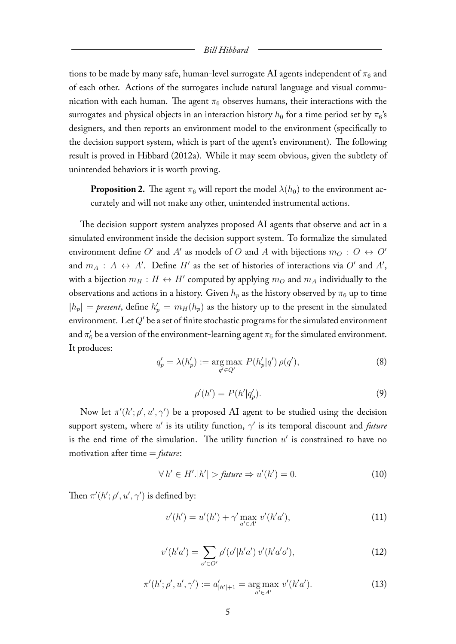#### *Bill Hibbard*

tions to be made by many safe, human-level surrogate AI agents independent of  $\pi_6$  and of each other. Actions of the surrogates include natural language and visual communication with each human. The agent  $\pi_6$  observes humans, their interactions with the surrogates and physical objects in an interaction history  $h_0$  for a time period set by  $\pi_6$ 's designers, and then reports an environment model to the environment (specifically to the decision support system, which is part of the agent's environment). The following result is proved in Hibbard [\(2012a\)](#page-9-8). While it may seem obvious, given the subtlety of unintended behaviors it is worth proving.

**Proposition 2.** The agent  $\pi_6$  will report the model  $\lambda(h_0)$  to the environment accurately and will not make any other, unintended instrumental actions.

The decision support system analyzes proposed AI agents that observe and act in a simulated environment inside the decision support system. To formalize the simulated environment define O' and A' as models of O and A with bijections  $m_O: O \leftrightarrow O'$ and  $m_A: A \leftrightarrow A'$ . Define H' as the set of histories of interactions via O' and A', with a bijection  $m_H : H \leftrightarrow H'$  computed by applying  $m_O$  and  $m_A$  individually to the observations and actions in a history. Given  $h_p$  as the history observed by  $\pi_6$  up to time  $|h_p| =$  *present*, define  $h'_p = m_H(h_p)$  as the history up to the present in the simulated environment. Let  $Q'$  be a set of finite stochastic programs for the simulated environment and  $\pi'_6$  be a version of the environment-learning agent  $\pi_6$  for the simulated environment. It produces:

$$
q'_p = \lambda(h'_p) := \underset{q' \in Q'}{\text{arg}\max} \ P(h'_p|q') \ \rho(q'),\tag{8}
$$

$$
\rho'(h') = P(h'|q_p').\tag{9}
$$

Now let  $\pi'(h';\rho',u',\gamma')$  be a proposed AI agent to be studied using the decision support system, where  $u'$  is its utility function,  $\gamma'$  is its temporal discount and *future* is the end time of the simulation. The utility function  $u'$  is constrained to have no motivation after time = *future*:

<span id="page-5-1"></span><span id="page-5-0"></span>
$$
\forall h' \in H'.|h'| > future \Rightarrow u'(h') = 0.
$$
\n(10)

<span id="page-5-2"></span>Then  $\pi'(h'; \rho', u', \gamma')$  is defined by:

$$
v'(h') = u'(h') + \gamma' \max_{a' \in A'} v'(h'a'), \tag{11}
$$

$$
v'(h'a') = \sum_{o' \in O'} \rho'(o'|h'a') v'(h'a'o'), \qquad (12)
$$

$$
\pi'(h';\rho',u',\gamma') := a'_{|h'|+1} = \underset{a' \in A'}{\text{arg}\max} \ v'(h'a'). \tag{13}
$$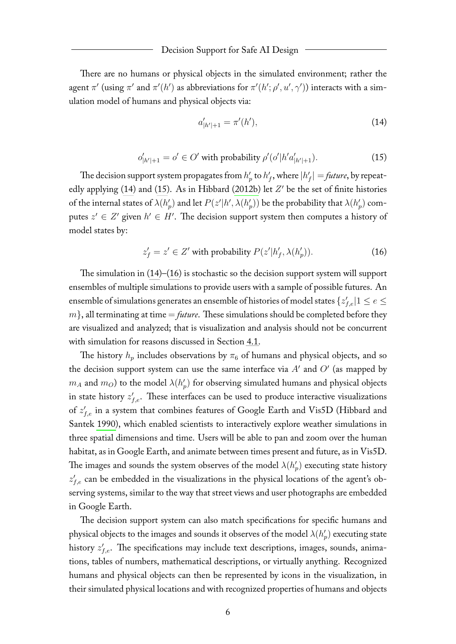#### Decision Support for Safe AI Design

There are no humans or physical objects in the simulated environment; rather the agent  $\pi'$  (using  $\pi'$  and  $\pi'(h')$  as abbreviations for  $\pi'(h';\rho',u',\gamma')$ ) interacts with a simulation model of humans and physical objects via:

<span id="page-6-0"></span>
$$
a'_{|h'|+1} = \pi'(h'),\tag{14}
$$

$$
o'_{|h'|+1} = o' \in O' \text{ with probability } \rho'(o'|h'a'_{|h'|+1}). \tag{15}
$$

<span id="page-6-1"></span>The decision support system propagates from  $h'_p$  to  $h'_f$ , where  $\vert h'_f\vert =$  future, by repeat-edly applying [\(14\)](#page-6-0) and [\(15\)](#page-6-1). As in Hibbard [\(2012b\)](#page-9-10) let  $Z'$  be the set of finite histories of the internal states of  $\lambda(h'_p)$  and let  $P(z'|h', \lambda(h'_p))$  be the probability that  $\lambda(h'_p)$  computes  $z' \in Z'$  given  $h' \in H'$ . The decision support system then computes a history of model states by:

<span id="page-6-2"></span>
$$
z'_{f} = z' \in Z' \text{ with probability } P(z'|h'_{f}, \lambda(h'_{p})). \tag{16}
$$

The simulation in [\(14\)](#page-6-0)–[\(16\)](#page-6-2) is stochastic so the decision support system will support ensembles of multiple simulations to provide users with a sample of possible futures. An ensemble of simulations generates an ensemble of histories of model states  $\{z'_{f,e}|1\leq e\leq\pi\}$ m}, all terminating at time = *future*. These simulations should be completed before they are visualized and analyzed; that is visualization and analysis should not be concurrent with simulation for reasons discussed in Section [4.1.](#page-7-0)

The history  $h_p$  includes observations by  $\pi_6$  of humans and physical objects, and so the decision support system can use the same interface via  $A'$  and  $O'$  (as mapped by  $m_A$  and  $m_O$ ) to the model  $\lambda(h'_p)$  for observing simulated humans and physical objects in state history  $z'_{f,e}$ . These interfaces can be used to produce interactive visualizations of  $z'_{f,e}$  in a system that combines features of Google Earth and Vis5D (Hibbard and Santek [1990\)](#page-10-14), which enabled scientists to interactively explore weather simulations in three spatial dimensions and time. Users will be able to pan and zoom over the human habitat, as in Google Earth, and animate between times present and future, as in Vis5D. The images and sounds the system observes of the model  $\lambda(h'_p)$  executing state history  $z'_{f,e}$  can be embedded in the visualizations in the physical locations of the agent's observing systems, similar to the way that street views and user photographs are embedded in Google Earth.

The decision support system can also match specifications for specific humans and physical objects to the images and sounds it observes of the model  $\lambda(h'_p)$  executing state history  $z'_{f,e}$ . The specifications may include text descriptions, images, sounds, animations, tables of numbers, mathematical descriptions, or virtually anything. Recognized humans and physical objects can then be represented by icons in the visualization, in their simulated physical locations and with recognized properties of humans and objects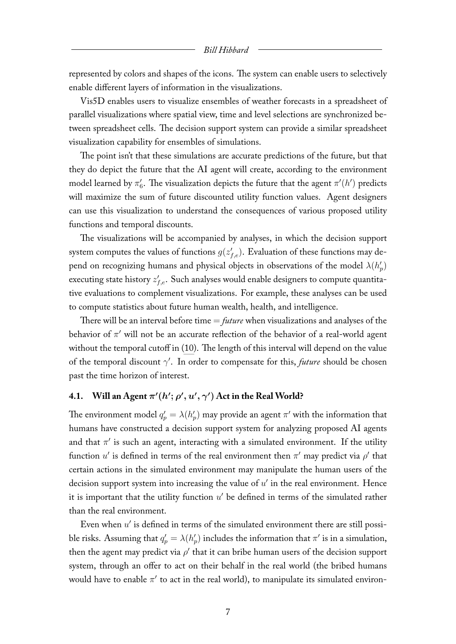represented by colors and shapes of the icons. The system can enable users to selectively enable different layers of information in the visualizations.

Vis5D enables users to visualize ensembles of weather forecasts in a spreadsheet of parallel visualizations where spatial view, time and level selections are synchronized between spreadsheet cells. The decision support system can provide a similar spreadsheet visualization capability for ensembles of simulations.

The point isn't that these simulations are accurate predictions of the future, but that they do depict the future that the AI agent will create, according to the environment model learned by  $\pi'_6$ . The visualization depicts the future that the agent  $\pi'(h')$  predicts will maximize the sum of future discounted utility function values. Agent designers can use this visualization to understand the consequences of various proposed utility functions and temporal discounts.

The visualizations will be accompanied by analyses, in which the decision support system computes the values of functions  $g(z'_{f,e})$ . Evaluation of these functions may depend on recognizing humans and physical objects in observations of the model  $\lambda(h'_p)$ executing state history  $z'_{f,e}$ . Such analyses would enable designers to compute quantitative evaluations to complement visualizations. For example, these analyses can be used to compute statistics about future human wealth, health, and intelligence.

There will be an interval before time = *future* when visualizations and analyses of the behavior of  $\pi'$  will not be an accurate reflection of the behavior of a real-world agent without the temporal cutoff in [\(10\)](#page-5-0). The length of this interval will depend on the value of the temporal discount γ 0 . In order to compensate for this, *future* should be chosen past the time horizon of interest.

## <span id="page-7-0"></span>**4.1.** Will an Agent  $\pi'(h'; \rho', u', \gamma')$  Act in the Real World?

The environment model  $q'_p = \lambda(h'_p)$  may provide an agent  $\pi'$  with the information that humans have constructed a decision support system for analyzing proposed AI agents and that  $\pi'$  is such an agent, interacting with a simulated environment. If the utility function u' is defined in terms of the real environment then  $\pi'$  may predict via  $\rho'$  that certain actions in the simulated environment may manipulate the human users of the decision support system into increasing the value of  $u'$  in the real environment. Hence it is important that the utility function  $u'$  be defined in terms of the simulated rather than the real environment.

Even when  $u'$  is defined in terms of the simulated environment there are still possible risks. Assuming that  $q'_p = \lambda(h'_p)$  includes the information that  $\pi'$  is in a simulation, then the agent may predict via  $\rho'$  that it can bribe human users of the decision support system, through an offer to act on their behalf in the real world (the bribed humans would have to enable  $\pi'$  to act in the real world), to manipulate its simulated environ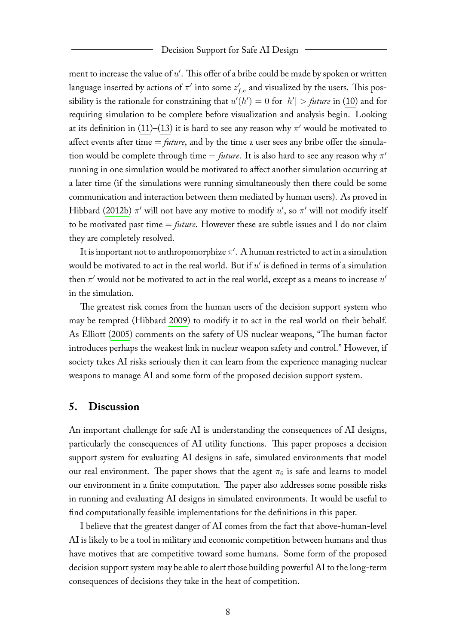Decision Support for Safe AI Design

ment to increase the value of  $u'$ . This offer of a bribe could be made by spoken or written language inserted by actions of  $\pi'$  into some  $z'_{f,e}$  and visualized by the users. This possibility is the rationale for constraining that  $u'(h') = 0$  for  $|h'| >$  *future* in [\(10\)](#page-5-0) and for requiring simulation to be complete before visualization and analysis begin. Looking at its definition in [\(11\)](#page-5-1)–[\(13\)](#page-5-2) it is hard to see any reason why  $\pi'$  would be motivated to affect events after time = *future*, and by the time a user sees any bribe offer the simulation would be complete through time =  $future$ . It is also hard to see any reason why  $\pi'$ running in one simulation would be motivated to affect another simulation occurring at a later time (if the simulations were running simultaneously then there could be some communication and interaction between them mediated by human users). As proved in Hibbard [\(2012b\)](#page-9-10)  $\pi'$  will not have any motive to modify u', so  $\pi'$  will not modify itself to be motivated past time = *future*. However these are subtle issues and I do not claim they are completely resolved.

It is important not to anthropomorphize  $\pi'$  . A human restricted to act in a simulation would be motivated to act in the real world. But if  $u'$  is defined in terms of a simulation then  $\pi'$  would not be motivated to act in the real world, except as a means to increase  $u'$ in the simulation.

The greatest risk comes from the human users of the decision support system who may be tempted (Hibbard [2009\)](#page-9-12) to modify it to act in the real world on their behalf. As Elliott [\(2005\)](#page-9-13) comments on the safety of US nuclear weapons, "The human factor introduces perhaps the weakest link in nuclear weapon safety and control." However, if society takes AI risks seriously then it can learn from the experience managing nuclear weapons to manage AI and some form of the proposed decision support system.

## **5. Discussion**

An important challenge for safe AI is understanding the consequences of AI designs, particularly the consequences of AI utility functions. This paper proposes a decision support system for evaluating AI designs in safe, simulated environments that model our real environment. The paper shows that the agent  $\pi_6$  is safe and learns to model our environment in a finite computation. The paper also addresses some possible risks in running and evaluating AI designs in simulated environments. It would be useful to find computationally feasible implementations for the definitions in this paper.

I believe that the greatest danger of AI comes from the fact that above-human-level AI is likely to be a tool in military and economic competition between humans and thus have motives that are competitive toward some humans. Some form of the proposed decision support system may be able to alert those building powerful AI to the long-term consequences of decisions they take in the heat of competition.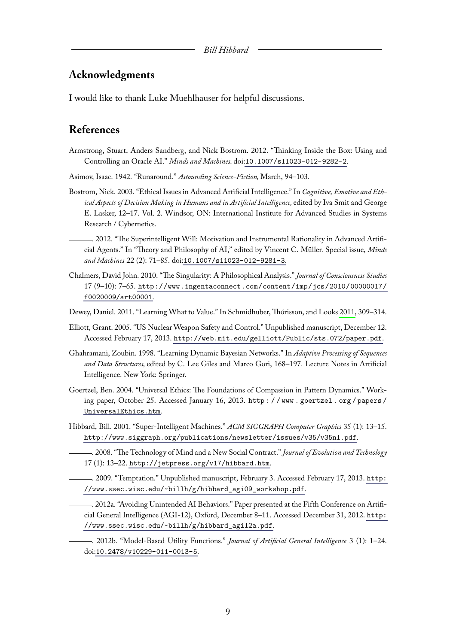# **Acknowledgments**

I would like to thank Luke Muehlhauser for helpful discussions.

# **References**

- <span id="page-9-5"></span>Armstrong, Stuart, Anders Sandberg, and Nick Bostrom. 2012. "Thinking Inside the Box: Using and Controlling an Oracle AI." *Minds and Machines.* doi:[10.1007/s11023-012-9282-2](http://dx.doi.org/10.1007/s11023-012-9282-2).
- <span id="page-9-0"></span>Asimov, Isaac. 1942. "Runaround." *Astounding Science-Fiction,* March, 94–103.
- <span id="page-9-2"></span>Bostrom, Nick. 2003. "Ethical Issues in Advanced Artificial Intelligence." In *Cognitive, Emotive and Ethical Aspects of Decision Making in Humans and in Artificial Intelligence,* edited by Iva Smit and George E. Lasker, 12–17. Vol. 2. Windsor, ON: International Institute for Advanced Studies in Systems Research / Cybernetics.

<span id="page-9-11"></span>. 2012. "The Superintelligent Will: Motivation and Instrumental Rationality in Advanced Artificial Agents." In "Theory and Philosophy of AI," edited by Vincent C. Müller. Special issue, *Minds and Machines* 22 (2): 71–85. doi:[10.1007/s11023-012-9281-3](http://dx.doi.org/10.1007/s11023-012-9281-3).

- <span id="page-9-6"></span>Chalmers, David John. 2010. "The Singularity: A Philosophical Analysis." *Journal of Consciousness Studies* 17 (9–10): 7–65. [http://www.ingentaconnect.com/content/imp/jcs/2010/00000017/](http://www.ingentaconnect.com/content/imp/jcs/2010/00000017/f0020009/art00001) [f0020009/art00001](http://www.ingentaconnect.com/content/imp/jcs/2010/00000017/f0020009/art00001).
- <span id="page-9-9"></span>Dewey, Daniel. 2011. "Learning What to Value." In Schmidhuber, Thórisson, and Looks [2011,](#page-10-15) 309–314.
- <span id="page-9-13"></span>Elliott, Grant. 2005. "US Nuclear Weapon Safety and Control." Unpublished manuscript, December 12. Accessed February 17, 2013. <http://web.mit.edu/gelliott/Public/sts.072/paper.pdf>.
- <span id="page-9-7"></span>Ghahramani, Zoubin. 1998. "Learning Dynamic Bayesian Networks." In *Adaptive Processing of Sequences and Data Structures,* edited by C. Lee Giles and Marco Gori, 168–197. Lecture Notes in Artificial Intelligence. New York: Springer.
- <span id="page-9-3"></span>Goertzel, Ben. 2004. "Universal Ethics: The Foundations of Compassion in Pattern Dynamics." Working paper, October 25. Accessed January 16, 2013. [http : / / www . goertzel . org / papers /](http://www.goertzel.org/papers/UniversalEthics.htm) [UniversalEthics.htm](http://www.goertzel.org/papers/UniversalEthics.htm).
- <span id="page-9-12"></span><span id="page-9-10"></span><span id="page-9-8"></span><span id="page-9-4"></span><span id="page-9-1"></span>Hibbard, Bill. 2001. "Super-Intelligent Machines." *ACM SIGGRAPH Computer Graphics* 35 (1): 13–15. <http://www.siggraph.org/publications/newsletter/issues/v35/v35n1.pdf>.
	- . 2008. "The Technology of Mind and a New Social Contract." *Journal of Evolution and Technology* 17 (1): 13–22. <http://jetpress.org/v17/hibbard.htm>.
	- . 2009. "Temptation." Unpublished manuscript, February 3. Accessed February 17, 2013. [http:](http://www.ssec.wisc.edu/~billh/g/hibbard_agi09_workshop.pdf) [//www.ssec.wisc.edu/~billh/g/hibbard\\_agi09\\_workshop.pdf](http://www.ssec.wisc.edu/~billh/g/hibbard_agi09_workshop.pdf).
	- . 2012a. "Avoiding Unintended AI Behaviors." Paper presented at the Fifth Conference on Artificial General Intelligence (AGI-12), Oxford, December 8–11. Accessed December 31, 2012. [http:](http://www.ssec.wisc.edu/~billh/g/hibbard_agi12a.pdf) [//www.ssec.wisc.edu/~billh/g/hibbard\\_agi12a.pdf](http://www.ssec.wisc.edu/~billh/g/hibbard_agi12a.pdf).
	- . 2012b. "Model-Based Utility Functions." *Journal of Artificial General Intelligence* 3 (1): 1–24. doi:[10.2478/v10229-011-0013-5](http://dx.doi.org/10.2478/v10229-011-0013-5).